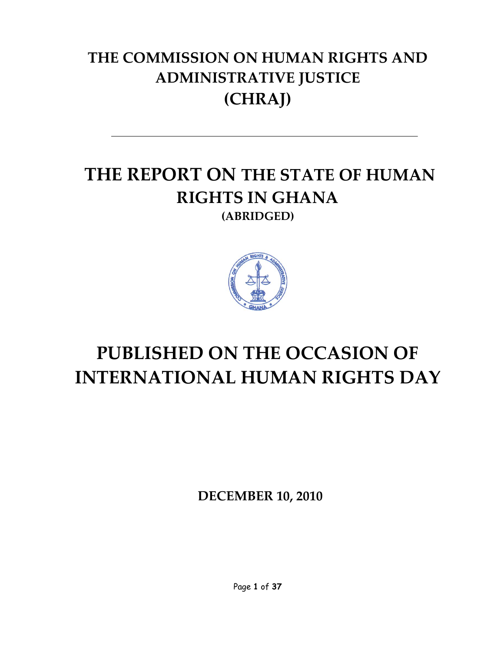# **THE COMMISSION ON HUMAN RIGHTS AND ADMINISTRATIVE JUSTICE (CHRAJ)**

# **THE REPORT ON THE STATE OF HUMAN RIGHTS IN GHANA (ABRIDGED)**



# **PUBLISHED ON THE OCCASION OF INTERNATIONAL HUMAN RIGHTS DAY**

**DECEMBER 10, 2010**

Page **1** of **37**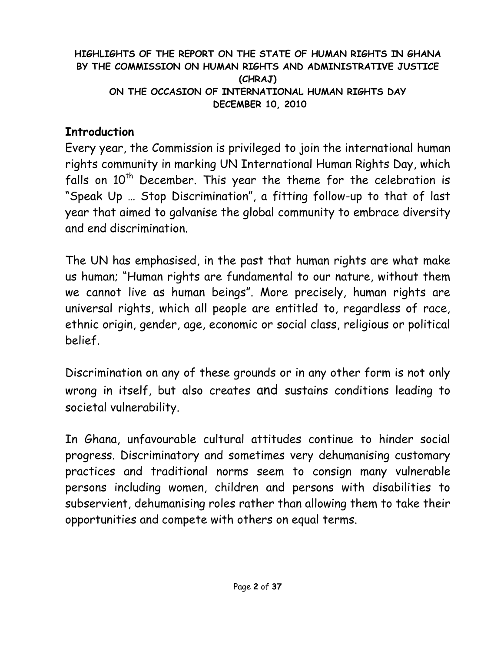#### **HIGHLIGHTS OF THE REPORT ON THE STATE OF HUMAN RIGHTS IN GHANA BY THE COMMISSION ON HUMAN RIGHTS AND ADMINISTRATIVE JUSTICE (CHRAJ) ON THE OCCASION OF INTERNATIONAL HUMAN RIGHTS DAY DECEMBER 10, 2010**

#### **Introduction**

Every year, the Commission is privileged to join the international human rights community in marking UN International Human Rights Day, which falls on  $10^{th}$  December. This year the theme for the celebration is "Speak Up … Stop Discrimination", a fitting follow-up to that of last year that aimed to galvanise the global community to embrace diversity and end discrimination.

The UN has emphasised, in the past that human rights are what make us human; "Human rights are fundamental to our nature, without them we cannot live as human beings". More precisely, human rights are universal rights, which all people are entitled to, regardless of race, ethnic origin, gender, age, economic or social class, religious or political belief.

Discrimination on any of these grounds or in any other form is not only wrong in itself, but also creates and sustains conditions leading to societal vulnerability.

In Ghana, unfavourable cultural attitudes continue to hinder social progress. Discriminatory and sometimes very dehumanising customary practices and traditional norms seem to consign many vulnerable persons including women, children and persons with disabilities to subservient, dehumanising roles rather than allowing them to take their opportunities and compete with others on equal terms.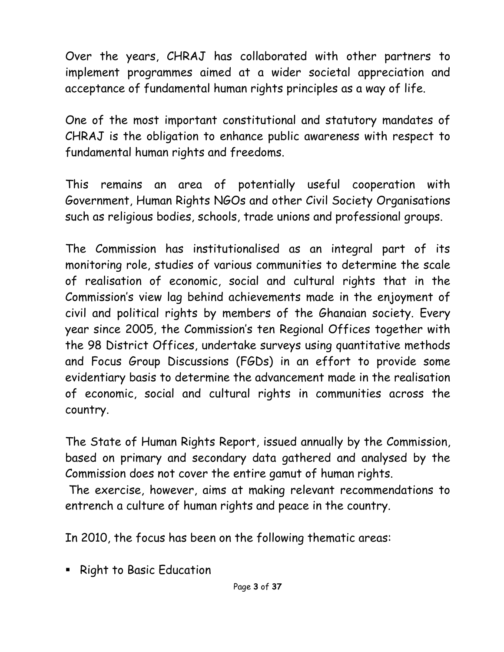Over the years, CHRAJ has collaborated with other partners to implement programmes aimed at a wider societal appreciation and acceptance of fundamental human rights principles as a way of life.

One of the most important constitutional and statutory mandates of CHRAJ is the obligation to enhance public awareness with respect to fundamental human rights and freedoms.

This remains an area of potentially useful cooperation with Government, Human Rights NGOs and other Civil Society Organisations such as religious bodies, schools, trade unions and professional groups.

The Commission has institutionalised as an integral part of its monitoring role, studies of various communities to determine the scale of realisation of economic, social and cultural rights that in the Commission's view lag behind achievements made in the enjoyment of civil and political rights by members of the Ghanaian society. Every year since 2005, the Commission's ten Regional Offices together with the 98 District Offices, undertake surveys using quantitative methods and Focus Group Discussions (FGDs) in an effort to provide some evidentiary basis to determine the advancement made in the realisation of economic, social and cultural rights in communities across the country.

The State of Human Rights Report, issued annually by the Commission, based on primary and secondary data gathered and analysed by the Commission does not cover the entire gamut of human rights.

The exercise, however, aims at making relevant recommendations to entrench a culture of human rights and peace in the country.

In 2010, the focus has been on the following thematic areas:

**Example 1 Right to Basic Education**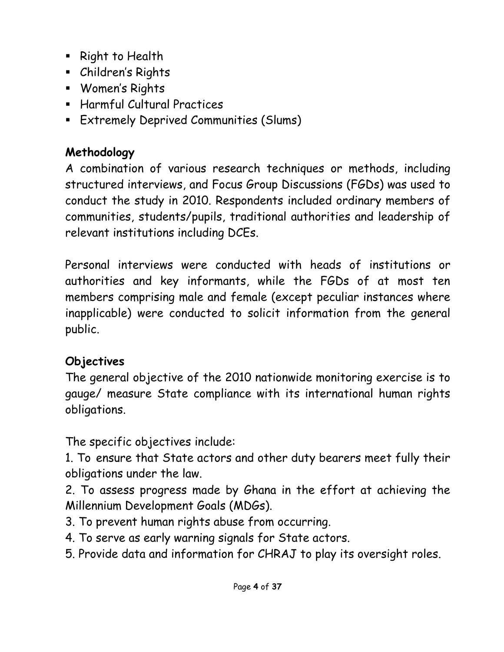- **Right to Health**
- Children's Rights
- Women's Rights
- Harmful Cultural Practices
- Extremely Deprived Communities (Slums)

### **Methodology**

A combination of various research techniques or methods, including structured interviews, and Focus Group Discussions (FGDs) was used to conduct the study in 2010. Respondents included ordinary members of communities, students/pupils, traditional authorities and leadership of relevant institutions including DCEs.

Personal interviews were conducted with heads of institutions or authorities and key informants, while the FGDs of at most ten members comprising male and female (except peculiar instances where inapplicable) were conducted to solicit information from the general public.

#### **Objectives**

The general objective of the 2010 nationwide monitoring exercise is to gauge/ measure State compliance with its international human rights obligations.

The specific objectives include:

1. To ensure that State actors and other duty bearers meet fully their obligations under the law.

2. To assess progress made by Ghana in the effort at achieving the Millennium Development Goals (MDGs).

- 3. To prevent human rights abuse from occurring.
- 4. To serve as early warning signals for State actors.
- 5. Provide data and information for CHRAJ to play its oversight roles.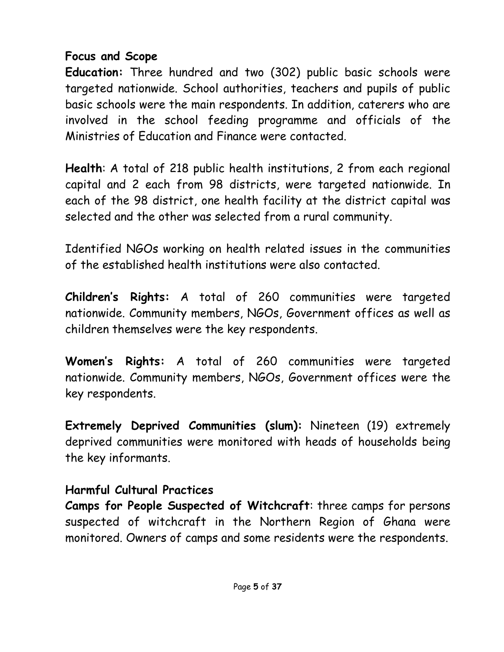#### **Focus and Scope**

**Education:** Three hundred and two (302) public basic schools were targeted nationwide. School authorities, teachers and pupils of public basic schools were the main respondents. In addition, caterers who are involved in the school feeding programme and officials of the Ministries of Education and Finance were contacted.

**Health**: A total of 218 public health institutions, 2 from each regional capital and 2 each from 98 districts, were targeted nationwide. In each of the 98 district, one health facility at the district capital was selected and the other was selected from a rural community.

Identified NGOs working on health related issues in the communities of the established health institutions were also contacted.

**Children's Rights:** A total of 260 communities were targeted nationwide. Community members, NGOs, Government offices as well as children themselves were the key respondents.

**Women's Rights:** A total of 260 communities were targeted nationwide. Community members, NGOs, Government offices were the key respondents.

**Extremely Deprived Communities (slum):** Nineteen (19) extremely deprived communities were monitored with heads of households being the key informants.

#### **Harmful Cultural Practices**

**Camps for People Suspected of Witchcraft**: three camps for persons suspected of witchcraft in the Northern Region of Ghana were monitored. Owners of camps and some residents were the respondents.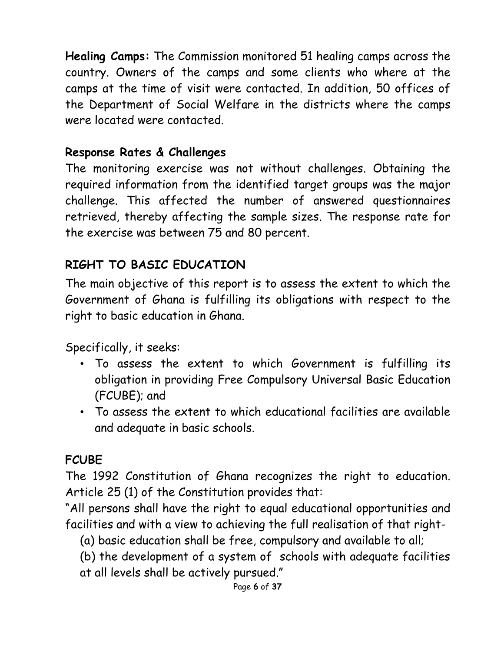**Healing Camps:** The Commission monitored 51 healing camps across the country. Owners of the camps and some clients who where at the camps at the time of visit were contacted. In addition, 50 offices of the Department of Social Welfare in the districts where the camps were located were contacted.

#### **Response Rates & Challenges**

The monitoring exercise was not without challenges. Obtaining the required information from the identified target groups was the major challenge. This affected the number of answered questionnaires retrieved, thereby affecting the sample sizes. The response rate for the exercise was between 75 and 80 percent.

### **RIGHT TO BASIC EDUCATION**

The main objective of this report is to assess the extent to which the Government of Ghana is fulfilling its obligations with respect to the right to basic education in Ghana.

Specifically, it seeks:

- To assess the extent to which Government is fulfilling its obligation in providing Free Compulsory Universal Basic Education (FCUBE); and
- To assess the extent to which educational facilities are available and adequate in basic schools.

# **FCUBE**

The 1992 Constitution of Ghana recognizes the right to education. Article 25 (1) of the Constitution provides that:

"All persons shall have the right to equal educational opportunities and facilities and with a view to achieving the full realisation of that right-

- (a) basic education shall be free, compulsory and available to all;
- (b) the development of a system of schools with adequate facilities at all levels shall be actively pursued."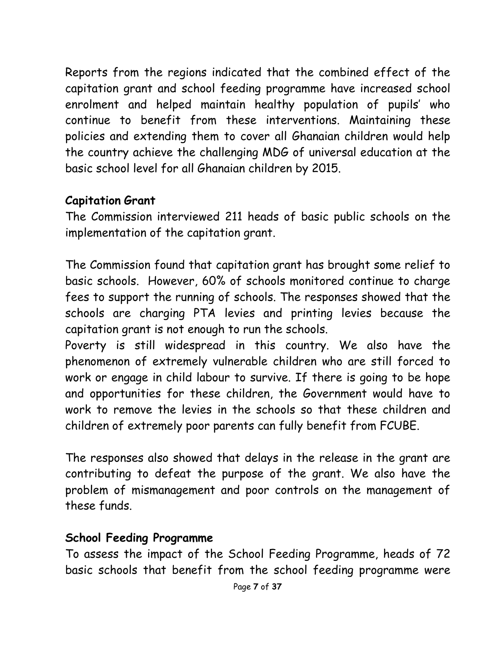Reports from the regions indicated that the combined effect of the capitation grant and school feeding programme have increased school enrolment and helped maintain healthy population of pupils' who continue to benefit from these interventions. Maintaining these policies and extending them to cover all Ghanaian children would help the country achieve the challenging MDG of universal education at the basic school level for all Ghanaian children by 2015.

#### **Capitation Grant**

The Commission interviewed 211 heads of basic public schools on the implementation of the capitation grant.

The Commission found that capitation grant has brought some relief to basic schools. However, 60% of schools monitored continue to charge fees to support the running of schools. The responses showed that the schools are charging PTA levies and printing levies because the capitation grant is not enough to run the schools.

Poverty is still widespread in this country. We also have the phenomenon of extremely vulnerable children who are still forced to work or engage in child labour to survive. If there is going to be hope and opportunities for these children, the Government would have to work to remove the levies in the schools so that these children and children of extremely poor parents can fully benefit from FCUBE.

The responses also showed that delays in the release in the grant are contributing to defeat the purpose of the grant. We also have the problem of mismanagement and poor controls on the management of these funds.

#### **School Feeding Programme**

To assess the impact of the School Feeding Programme, heads of 72 basic schools that benefit from the school feeding programme were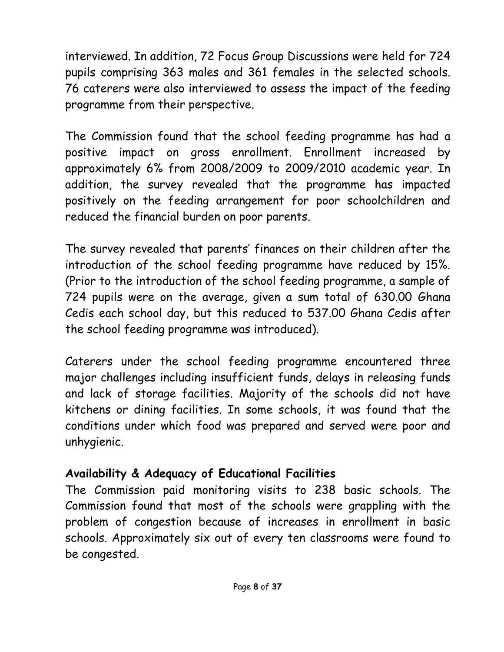interviewed. In addition, 72 Focus Group Discussions were held for 724 pupils comprising 363 males and 361 females in the selected schools. 76 caterers were also interviewed to assess the impact of the feeding programme from their perspective.

The Commission found that the school feeding programme has had a positive impact on gross enrollment. Enrollment increased by approximately 6% from 2008/2009 to 2009/2010 academic year. In addition, the survey revealed that the programme has impacted positively on the feeding arrangement for poor schoolchildren and reduced the financial burden on poor parents.

The survey revealed that parents' finances on their children after the introduction of the school feeding programme have reduced by 15%. (Prior to the introduction of the school feeding programme, a sample of 724 pupils were on the average, given a sum total of 630.00 Ghana Cedis each school day, but this reduced to 537.00 Ghana Cedis after the school feeding programme was introduced).

Caterers under the school feeding programme encountered three major challenges including insufficient funds, delays in releasing funds and lack of storage facilities. Majority of the schools did not have kitchens or dining facilities. In some schools, it was found that the conditions under which food was prepared and served were poor and unhygienic.

#### **Availability & Adequacy of Educational Facilities**

The Commission paid monitoring visits to 238 basic schools. The Commission found that most of the schools were grappling with the problem of congestion because of increases in enrollment in basic schools. Approximately six out of every ten classrooms were found to be congested.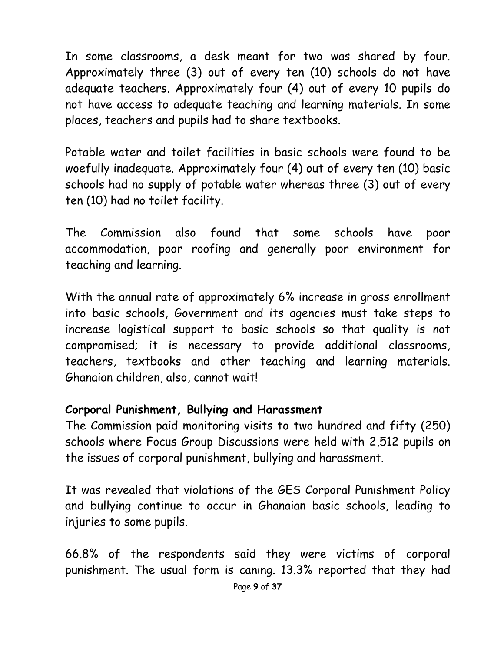In some classrooms, a desk meant for two was shared by four. Approximately three (3) out of every ten (10) schools do not have adequate teachers. Approximately four (4) out of every 10 pupils do not have access to adequate teaching and learning materials. In some places, teachers and pupils had to share textbooks.

Potable water and toilet facilities in basic schools were found to be woefully inadequate. Approximately four (4) out of every ten (10) basic schools had no supply of potable water whereas three (3) out of every ten (10) had no toilet facility.

The Commission also found that some schools have poor accommodation, poor roofing and generally poor environment for teaching and learning.

With the annual rate of approximately 6% increase in gross enrollment into basic schools, Government and its agencies must take steps to increase logistical support to basic schools so that quality is not compromised; it is necessary to provide additional classrooms, teachers, textbooks and other teaching and learning materials. Ghanaian children, also, cannot wait!

#### **Corporal Punishment, Bullying and Harassment**

The Commission paid monitoring visits to two hundred and fifty (250) schools where Focus Group Discussions were held with 2,512 pupils on the issues of corporal punishment, bullying and harassment.

It was revealed that violations of the GES Corporal Punishment Policy and bullying continue to occur in Ghanaian basic schools, leading to injuries to some pupils.

66.8% of the respondents said they were victims of corporal punishment. The usual form is caning. 13.3% reported that they had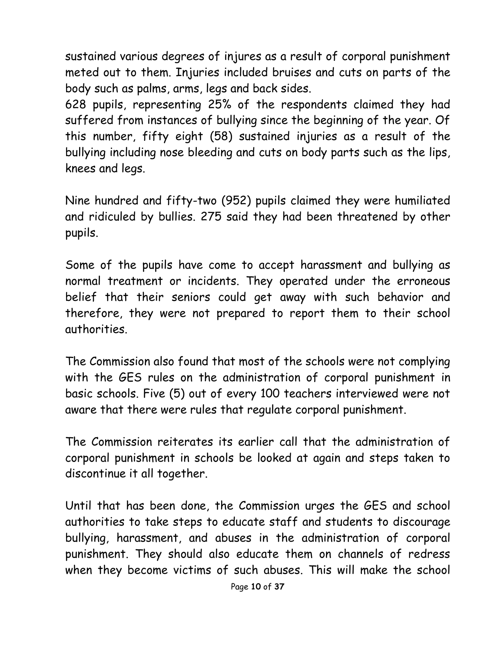sustained various degrees of injures as a result of corporal punishment meted out to them. Injuries included bruises and cuts on parts of the body such as palms, arms, legs and back sides.

628 pupils, representing 25% of the respondents claimed they had suffered from instances of bullying since the beginning of the year. Of this number, fifty eight (58) sustained injuries as a result of the bullying including nose bleeding and cuts on body parts such as the lips, knees and legs.

Nine hundred and fifty-two (952) pupils claimed they were humiliated and ridiculed by bullies. 275 said they had been threatened by other pupils.

Some of the pupils have come to accept harassment and bullying as normal treatment or incidents. They operated under the erroneous belief that their seniors could get away with such behavior and therefore, they were not prepared to report them to their school authorities.

The Commission also found that most of the schools were not complying with the GES rules on the administration of corporal punishment in basic schools. Five (5) out of every 100 teachers interviewed were not aware that there were rules that regulate corporal punishment.

The Commission reiterates its earlier call that the administration of corporal punishment in schools be looked at again and steps taken to discontinue it all together.

Until that has been done, the Commission urges the GES and school authorities to take steps to educate staff and students to discourage bullying, harassment, and abuses in the administration of corporal punishment. They should also educate them on channels of redress when they become victims of such abuses. This will make the school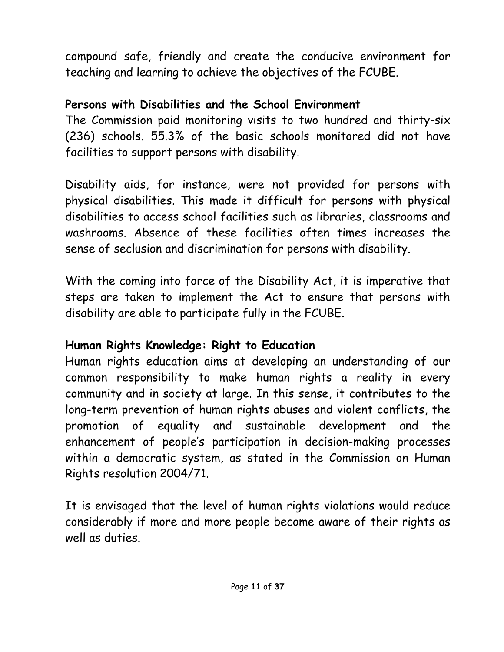compound safe, friendly and create the conducive environment for teaching and learning to achieve the objectives of the FCUBE.

#### **Persons with Disabilities and the School Environment**

The Commission paid monitoring visits to two hundred and thirty-six (236) schools. 55.3% of the basic schools monitored did not have facilities to support persons with disability.

Disability aids, for instance, were not provided for persons with physical disabilities. This made it difficult for persons with physical disabilities to access school facilities such as libraries, classrooms and washrooms. Absence of these facilities often times increases the sense of seclusion and discrimination for persons with disability.

With the coming into force of the Disability Act, it is imperative that steps are taken to implement the Act to ensure that persons with disability are able to participate fully in the FCUBE.

#### **Human Rights Knowledge: Right to Education**

Human rights education aims at developing an understanding of our common responsibility to make human rights a reality in every community and in society at large. In this sense, it contributes to the long-term prevention of human rights abuses and violent conflicts, the promotion of equality and sustainable development and the enhancement of people's participation in decision-making processes within a democratic system, as stated in the Commission on Human Rights resolution 2004/71.

It is envisaged that the level of human rights violations would reduce considerably if more and more people become aware of their rights as well as duties.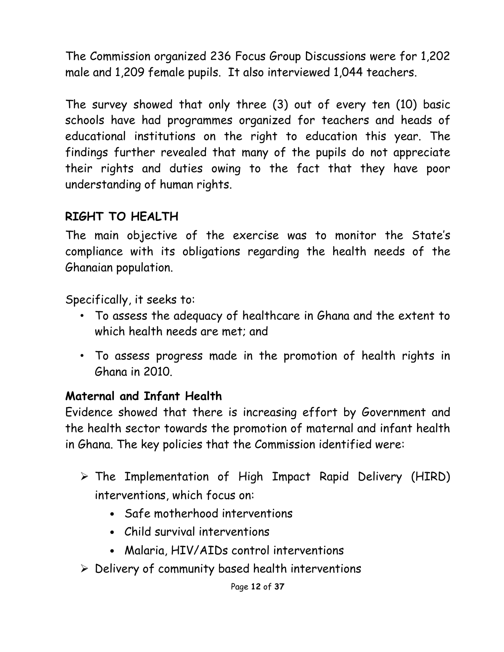The Commission organized 236 Focus Group Discussions were for 1,202 male and 1,209 female pupils. It also interviewed 1,044 teachers.

The survey showed that only three (3) out of every ten (10) basic schools have had programmes organized for teachers and heads of educational institutions on the right to education this year. The findings further revealed that many of the pupils do not appreciate their rights and duties owing to the fact that they have poor understanding of human rights.

#### **RIGHT TO HEALTH**

The main objective of the exercise was to monitor the State's compliance with its obligations regarding the health needs of the Ghanaian population.

Specifically, it seeks to:

- To assess the adequacy of healthcare in Ghana and the extent to which health needs are met; and
- To assess progress made in the promotion of health rights in Ghana in 2010.

#### **Maternal and Infant Health**

Evidence showed that there is increasing effort by Government and the health sector towards the promotion of maternal and infant health in Ghana. The key policies that the Commission identified were:

- $\triangleright$  The Implementation of High Impact Rapid Delivery (HIRD) interventions, which focus on:
	- Safe motherhood interventions
	- Child survival interventions
	- Malaria, HIV/AIDs control interventions
- $\triangleright$  Delivery of community based health interventions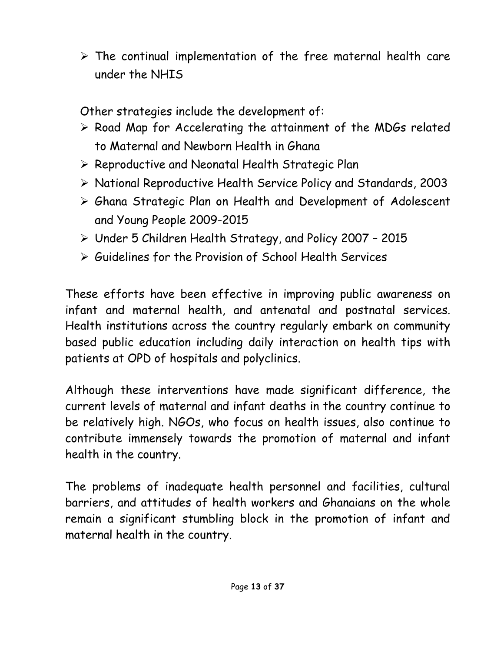$\triangleright$  The continual implementation of the free maternal health care under the NHIS

Other strategies include the development of:

- $\triangleright$  Road Map for Accelerating the attainment of the MDGs related to Maternal and Newborn Health in Ghana
- $\triangleright$  Reproductive and Neonatal Health Strategic Plan
- National Reproductive Health Service Policy and Standards, 2003
- Ghana Strategic Plan on Health and Development of Adolescent and Young People 2009-2015
- Under 5 Children Health Strategy, and Policy 2007 2015
- Guidelines for the Provision of School Health Services

These efforts have been effective in improving public awareness on infant and maternal health, and antenatal and postnatal services. Health institutions across the country regularly embark on community based public education including daily interaction on health tips with patients at OPD of hospitals and polyclinics.

Although these interventions have made significant difference, the current levels of maternal and infant deaths in the country continue to be relatively high. NGOs, who focus on health issues, also continue to contribute immensely towards the promotion of maternal and infant health in the country.

The problems of inadequate health personnel and facilities, cultural barriers, and attitudes of health workers and Ghanaians on the whole remain a significant stumbling block in the promotion of infant and maternal health in the country.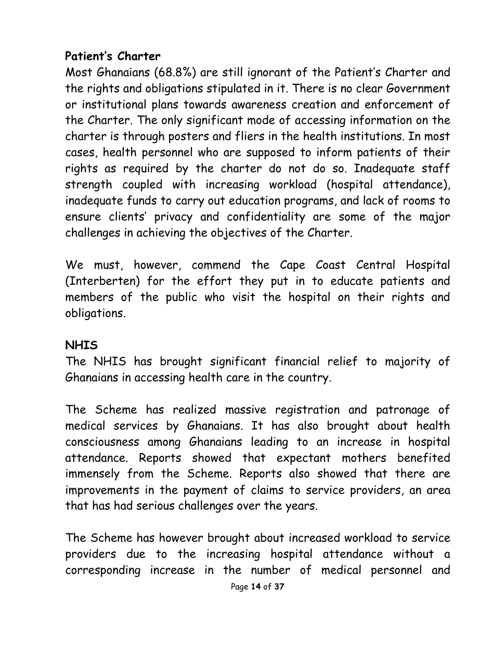#### **Patient's Charter**

Most Ghanaians (68.8%) are still ignorant of the Patient's Charter and the rights and obligations stipulated in it. There is no clear Government or institutional plans towards awareness creation and enforcement of the Charter. The only significant mode of accessing information on the charter is through posters and fliers in the health institutions. In most cases, health personnel who are supposed to inform patients of their rights as required by the charter do not do so. Inadequate staff strength coupled with increasing workload (hospital attendance), inadequate funds to carry out education programs, and lack of rooms to ensure clients' privacy and confidentiality are some of the major challenges in achieving the objectives of the Charter.

We must, however, commend the Cape Coast Central Hospital (Interberten) for the effort they put in to educate patients and members of the public who visit the hospital on their rights and obligations.

#### **NHIS**

The NHIS has brought significant financial relief to majority of Ghanaians in accessing health care in the country.

The Scheme has realized massive registration and patronage of medical services by Ghanaians. It has also brought about health consciousness among Ghanaians leading to an increase in hospital attendance. Reports showed that expectant mothers benefited immensely from the Scheme. Reports also showed that there are improvements in the payment of claims to service providers, an area that has had serious challenges over the years.

The Scheme has however brought about increased workload to service providers due to the increasing hospital attendance without a corresponding increase in the number of medical personnel and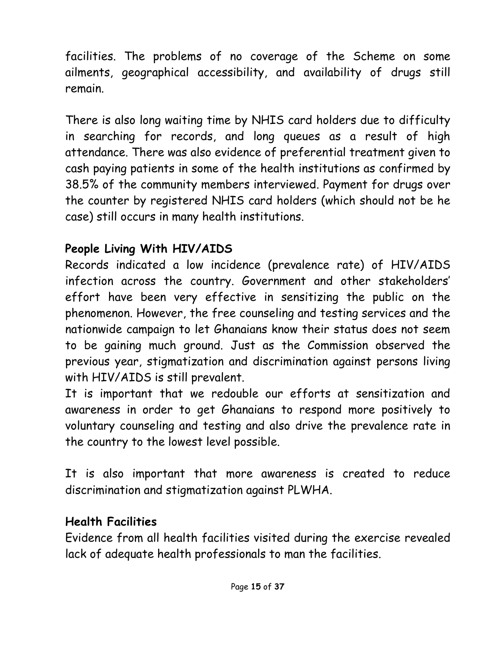facilities. The problems of no coverage of the Scheme on some ailments, geographical accessibility, and availability of drugs still remain.

There is also long waiting time by NHIS card holders due to difficulty in searching for records, and long queues as a result of high attendance. There was also evidence of preferential treatment given to cash paying patients in some of the health institutions as confirmed by 38.5% of the community members interviewed. Payment for drugs over the counter by registered NHIS card holders (which should not be he case) still occurs in many health institutions.

# **People Living With HIV/AIDS**

Records indicated a low incidence (prevalence rate) of HIV/AIDS infection across the country. Government and other stakeholders' effort have been very effective in sensitizing the public on the phenomenon. However, the free counseling and testing services and the nationwide campaign to let Ghanaians know their status does not seem to be gaining much ground. Just as the Commission observed the previous year, stigmatization and discrimination against persons living with HIV/AIDS is still prevalent.

It is important that we redouble our efforts at sensitization and awareness in order to get Ghanaians to respond more positively to voluntary counseling and testing and also drive the prevalence rate in the country to the lowest level possible.

It is also important that more awareness is created to reduce discrimination and stigmatization against PLWHA.

# **Health Facilities**

Evidence from all health facilities visited during the exercise revealed lack of adequate health professionals to man the facilities.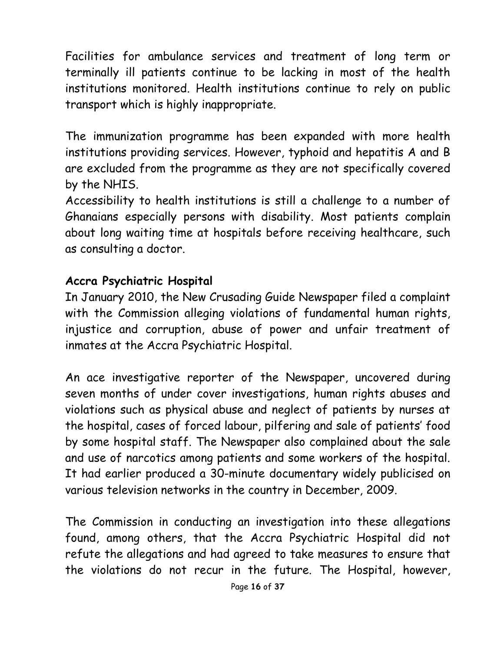Facilities for ambulance services and treatment of long term or terminally ill patients continue to be lacking in most of the health institutions monitored. Health institutions continue to rely on public transport which is highly inappropriate.

The immunization programme has been expanded with more health institutions providing services. However, typhoid and hepatitis A and B are excluded from the programme as they are not specifically covered by the NHIS.

Accessibility to health institutions is still a challenge to a number of Ghanaians especially persons with disability. Most patients complain about long waiting time at hospitals before receiving healthcare, such as consulting a doctor.

#### **Accra Psychiatric Hospital**

In January 2010, the New Crusading Guide Newspaper filed a complaint with the Commission alleging violations of fundamental human rights, injustice and corruption, abuse of power and unfair treatment of inmates at the Accra Psychiatric Hospital.

An ace investigative reporter of the Newspaper, uncovered during seven months of under cover investigations, human rights abuses and violations such as physical abuse and neglect of patients by nurses at the hospital, cases of forced labour, pilfering and sale of patients' food by some hospital staff. The Newspaper also complained about the sale and use of narcotics among patients and some workers of the hospital. It had earlier produced a 30-minute documentary widely publicised on various television networks in the country in December, 2009.

The Commission in conducting an investigation into these allegations found, among others, that the Accra Psychiatric Hospital did not refute the allegations and had agreed to take measures to ensure that the violations do not recur in the future. The Hospital, however,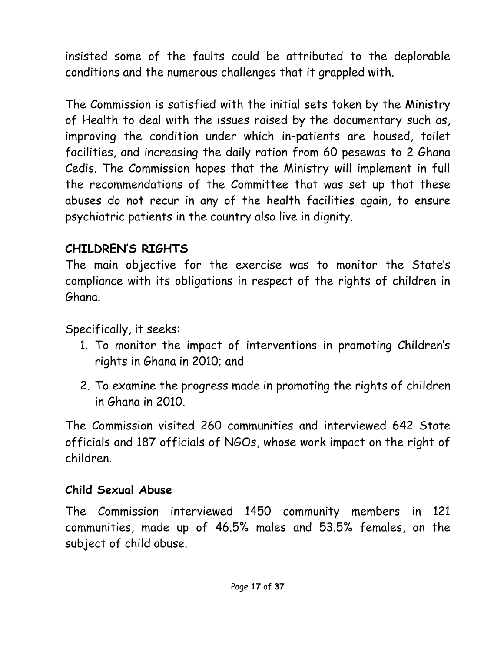insisted some of the faults could be attributed to the deplorable conditions and the numerous challenges that it grappled with.

The Commission is satisfied with the initial sets taken by the Ministry of Health to deal with the issues raised by the documentary such as, improving the condition under which in-patients are housed, toilet facilities, and increasing the daily ration from 60 pesewas to 2 Ghana Cedis. The Commission hopes that the Ministry will implement in full the recommendations of the Committee that was set up that these abuses do not recur in any of the health facilities again, to ensure psychiatric patients in the country also live in dignity.

### **CHILDREN'S RIGHTS**

The main objective for the exercise was to monitor the State's compliance with its obligations in respect of the rights of children in Ghana.

Specifically, it seeks:

- 1. To monitor the impact of interventions in promoting Children's rights in Ghana in 2010; and
- 2. To examine the progress made in promoting the rights of children in Ghana in 2010.

The Commission visited 260 communities and interviewed 642 State officials and 187 officials of NGOs, whose work impact on the right of children.

#### **Child Sexual Abuse**

The Commission interviewed 1450 community members in 121 communities, made up of 46.5% males and 53.5% females, on the subject of child abuse.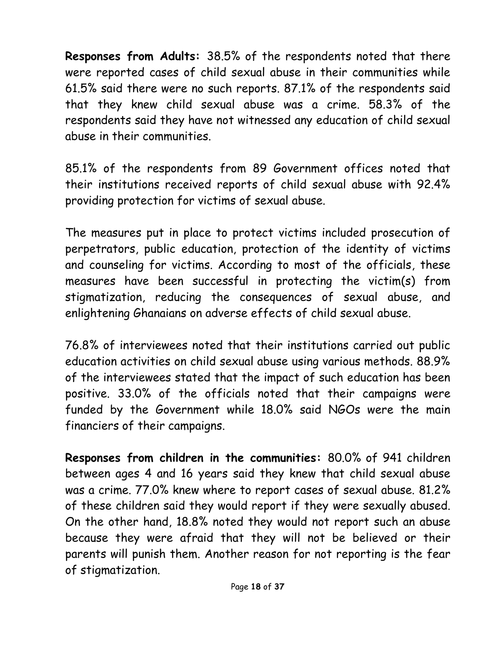**Responses from Adults:** 38.5% of the respondents noted that there were reported cases of child sexual abuse in their communities while 61.5% said there were no such reports. 87.1% of the respondents said that they knew child sexual abuse was a crime. 58.3% of the respondents said they have not witnessed any education of child sexual abuse in their communities.

85.1% of the respondents from 89 Government offices noted that their institutions received reports of child sexual abuse with 92.4% providing protection for victims of sexual abuse.

The measures put in place to protect victims included prosecution of perpetrators, public education, protection of the identity of victims and counseling for victims. According to most of the officials, these measures have been successful in protecting the victim(s) from stigmatization, reducing the consequences of sexual abuse, and enlightening Ghanaians on adverse effects of child sexual abuse.

76.8% of interviewees noted that their institutions carried out public education activities on child sexual abuse using various methods. 88.9% of the interviewees stated that the impact of such education has been positive. 33.0% of the officials noted that their campaigns were funded by the Government while 18.0% said NGOs were the main financiers of their campaigns.

**Responses from children in the communities:** 80.0% of 941 children between ages 4 and 16 years said they knew that child sexual abuse was a crime. 77.0% knew where to report cases of sexual abuse. 81.2% of these children said they would report if they were sexually abused. On the other hand, 18.8% noted they would not report such an abuse because they were afraid that they will not be believed or their parents will punish them. Another reason for not reporting is the fear of stigmatization.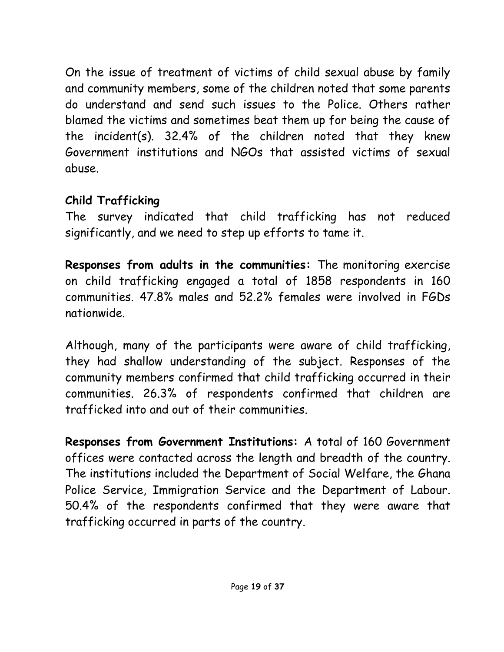On the issue of treatment of victims of child sexual abuse by family and community members, some of the children noted that some parents do understand and send such issues to the Police. Others rather blamed the victims and sometimes beat them up for being the cause of the incident(s). 32.4% of the children noted that they knew Government institutions and NGOs that assisted victims of sexual abuse.

### **Child Trafficking**

The survey indicated that child trafficking has not reduced significantly, and we need to step up efforts to tame it.

**Responses from adults in the communities:** The monitoring exercise on child trafficking engaged a total of 1858 respondents in 160 communities. 47.8% males and 52.2% females were involved in FGDs nationwide.

Although, many of the participants were aware of child trafficking, they had shallow understanding of the subject. Responses of the community members confirmed that child trafficking occurred in their communities. 26.3% of respondents confirmed that children are trafficked into and out of their communities.

**Responses from Government Institutions:** A total of 160 Government offices were contacted across the length and breadth of the country. The institutions included the Department of Social Welfare, the Ghana Police Service, Immigration Service and the Department of Labour. 50.4% of the respondents confirmed that they were aware that trafficking occurred in parts of the country.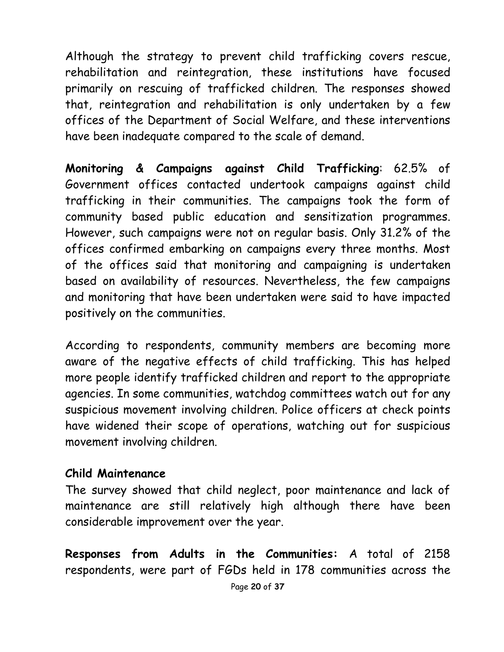Although the strategy to prevent child trafficking covers rescue, rehabilitation and reintegration, these institutions have focused primarily on rescuing of trafficked children. The responses showed that, reintegration and rehabilitation is only undertaken by a few offices of the Department of Social Welfare, and these interventions have been inadequate compared to the scale of demand.

**Monitoring & Campaigns against Child Trafficking**: 62.5% of Government offices contacted undertook campaigns against child trafficking in their communities. The campaigns took the form of community based public education and sensitization programmes. However, such campaigns were not on regular basis. Only 31.2% of the offices confirmed embarking on campaigns every three months. Most of the offices said that monitoring and campaigning is undertaken based on availability of resources. Nevertheless, the few campaigns and monitoring that have been undertaken were said to have impacted positively on the communities.

According to respondents, community members are becoming more aware of the negative effects of child trafficking. This has helped more people identify trafficked children and report to the appropriate agencies. In some communities, watchdog committees watch out for any suspicious movement involving children. Police officers at check points have widened their scope of operations, watching out for suspicious movement involving children.

#### **Child Maintenance**

The survey showed that child neglect, poor maintenance and lack of maintenance are still relatively high although there have been considerable improvement over the year.

**Responses from Adults in the Communities:** A total of 2158 respondents, were part of FGDs held in 178 communities across the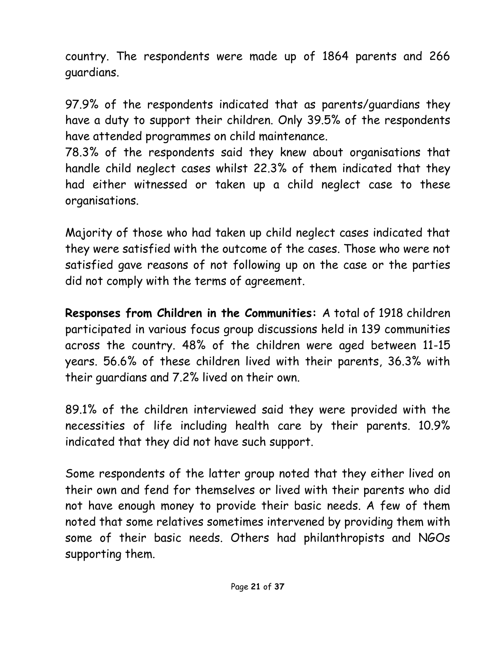country. The respondents were made up of 1864 parents and 266 guardians.

97.9% of the respondents indicated that as parents/guardians they have a duty to support their children. Only 39.5% of the respondents have attended programmes on child maintenance.

78.3% of the respondents said they knew about organisations that handle child neglect cases whilst 22.3% of them indicated that they had either witnessed or taken up a child neglect case to these organisations.

Majority of those who had taken up child neglect cases indicated that they were satisfied with the outcome of the cases. Those who were not satisfied gave reasons of not following up on the case or the parties did not comply with the terms of agreement.

**Responses from Children in the Communities:** A total of 1918 children participated in various focus group discussions held in 139 communities across the country. 48% of the children were aged between 11-15 years. 56.6% of these children lived with their parents, 36.3% with their guardians and 7.2% lived on their own.

89.1% of the children interviewed said they were provided with the necessities of life including health care by their parents. 10.9% indicated that they did not have such support.

Some respondents of the latter group noted that they either lived on their own and fend for themselves or lived with their parents who did not have enough money to provide their basic needs. A few of them noted that some relatives sometimes intervened by providing them with some of their basic needs. Others had philanthropists and NGOs supporting them.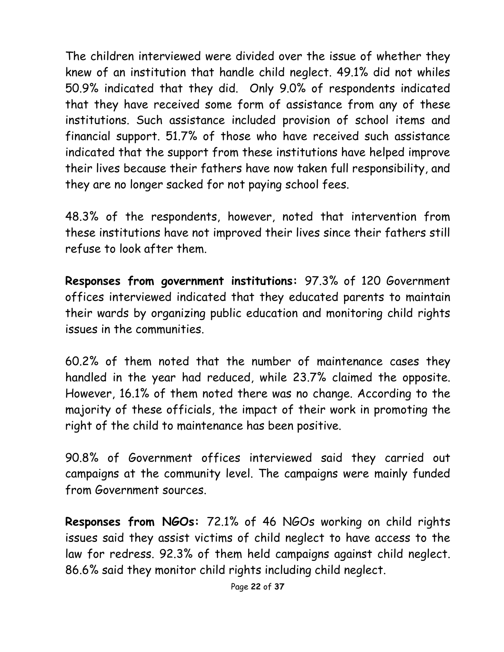The children interviewed were divided over the issue of whether they knew of an institution that handle child neglect. 49.1% did not whiles 50.9% indicated that they did. Only 9.0% of respondents indicated that they have received some form of assistance from any of these institutions. Such assistance included provision of school items and financial support. 51.7% of those who have received such assistance indicated that the support from these institutions have helped improve their lives because their fathers have now taken full responsibility, and they are no longer sacked for not paying school fees.

48.3% of the respondents, however, noted that intervention from these institutions have not improved their lives since their fathers still refuse to look after them.

**Responses from government institutions:** 97.3% of 120 Government offices interviewed indicated that they educated parents to maintain their wards by organizing public education and monitoring child rights issues in the communities.

60.2% of them noted that the number of maintenance cases they handled in the year had reduced, while 23.7% claimed the opposite. However, 16.1% of them noted there was no change. According to the majority of these officials, the impact of their work in promoting the right of the child to maintenance has been positive.

90.8% of Government offices interviewed said they carried out campaigns at the community level. The campaigns were mainly funded from Government sources.

**Responses from NGOs:** 72.1% of 46 NGOs working on child rights issues said they assist victims of child neglect to have access to the law for redress. 92.3% of them held campaigns against child neglect. 86.6% said they monitor child rights including child neglect.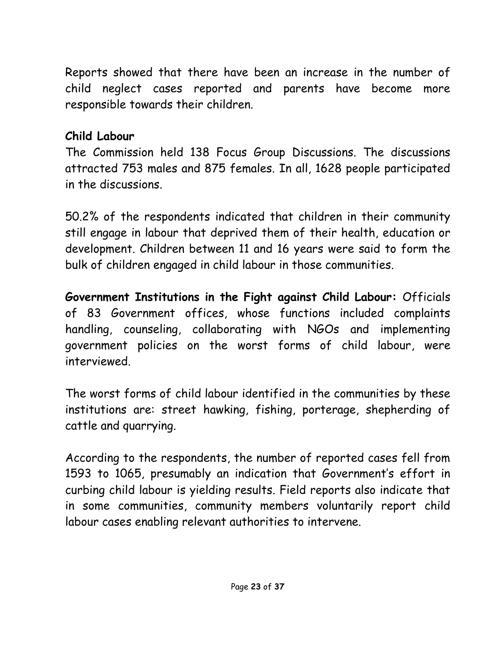Reports showed that there have been an increase in the number of child neglect cases reported and parents have become more responsible towards their children.

#### **Child Labour**

The Commission held 138 Focus Group Discussions. The discussions attracted 753 males and 875 females. In all, 1628 people participated in the discussions.

50.2% of the respondents indicated that children in their community still engage in labour that deprived them of their health, education or development. Children between 11 and 16 years were said to form the bulk of children engaged in child labour in those communities.

**Government Institutions in the Fight against Child Labour:** Officials of 83 Government offices, whose functions included complaints handling, counseling, collaborating with NGOs and implementing government policies on the worst forms of child labour, were interviewed.

The worst forms of child labour identified in the communities by these institutions are: street hawking, fishing, porterage, shepherding of cattle and quarrying.

According to the respondents, the number of reported cases fell from 1593 to 1065, presumably an indication that Government's effort in curbing child labour is yielding results. Field reports also indicate that in some communities, community members voluntarily report child labour cases enabling relevant authorities to intervene.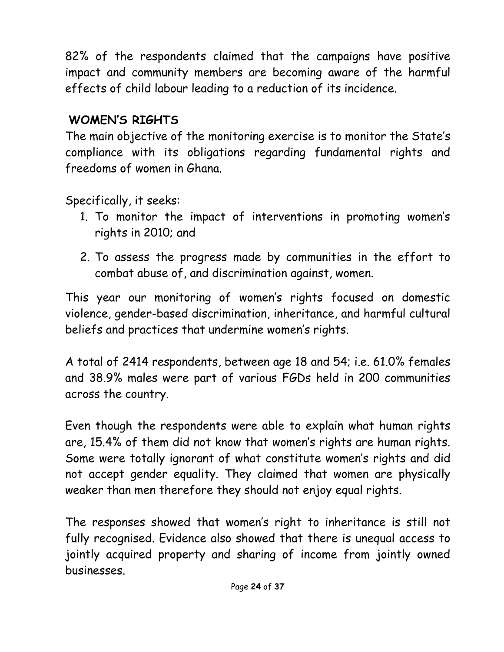82% of the respondents claimed that the campaigns have positive impact and community members are becoming aware of the harmful effects of child labour leading to a reduction of its incidence.

# **WOMEN'S RIGHTS**

The main objective of the monitoring exercise is to monitor the State's compliance with its obligations regarding fundamental rights and freedoms of women in Ghana.

Specifically, it seeks:

- 1. To monitor the impact of interventions in promoting women's rights in 2010; and
- 2. To assess the progress made by communities in the effort to combat abuse of, and discrimination against, women.

This year our monitoring of women's rights focused on domestic violence, gender-based discrimination, inheritance, and harmful cultural beliefs and practices that undermine women's rights.

A total of 2414 respondents, between age 18 and 54; i.e. 61.0% females and 38.9% males were part of various FGDs held in 200 communities across the country.

Even though the respondents were able to explain what human rights are, 15.4% of them did not know that women's rights are human rights. Some were totally ignorant of what constitute women's rights and did not accept gender equality. They claimed that women are physically weaker than men therefore they should not enjoy equal rights.

The responses showed that women's right to inheritance is still not fully recognised. Evidence also showed that there is unequal access to jointly acquired property and sharing of income from jointly owned businesses.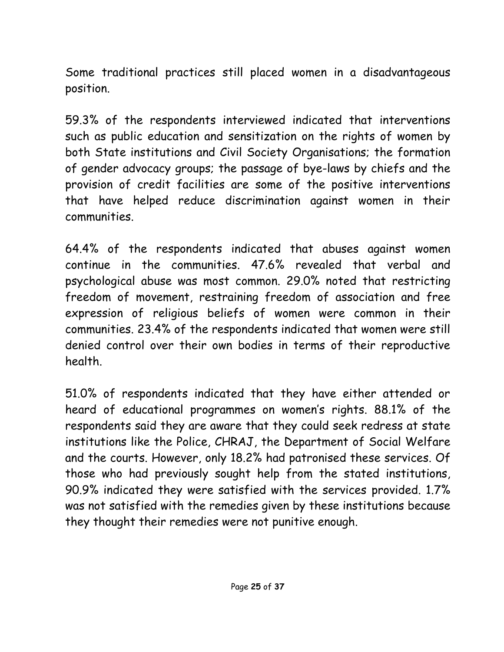Some traditional practices still placed women in a disadvantageous position.

59.3% of the respondents interviewed indicated that interventions such as public education and sensitization on the rights of women by both State institutions and Civil Society Organisations; the formation of gender advocacy groups; the passage of bye-laws by chiefs and the provision of credit facilities are some of the positive interventions that have helped reduce discrimination against women in their communities.

64.4% of the respondents indicated that abuses against women continue in the communities. 47.6% revealed that verbal and psychological abuse was most common. 29.0% noted that restricting freedom of movement, restraining freedom of association and free expression of religious beliefs of women were common in their communities. 23.4% of the respondents indicated that women were still denied control over their own bodies in terms of their reproductive health.

51.0% of respondents indicated that they have either attended or heard of educational programmes on women's rights. 88.1% of the respondents said they are aware that they could seek redress at state institutions like the Police, CHRAJ, the Department of Social Welfare and the courts. However, only 18.2% had patronised these services. Of those who had previously sought help from the stated institutions, 90.9% indicated they were satisfied with the services provided. 1.7% was not satisfied with the remedies given by these institutions because they thought their remedies were not punitive enough.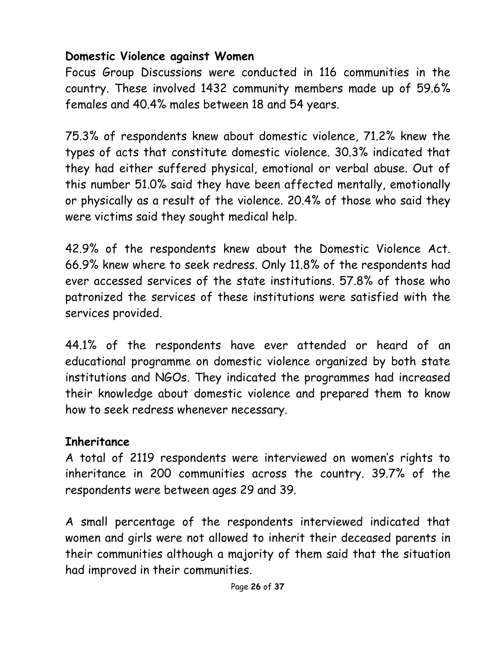#### **Domestic Violence against Women**

Focus Group Discussions were conducted in 116 communities in the country. These involved 1432 community members made up of 59.6% females and 40.4% males between 18 and 54 years.

75.3% of respondents knew about domestic violence, 71.2% knew the types of acts that constitute domestic violence. 30.3% indicated that they had either suffered physical, emotional or verbal abuse. Out of this number 51.0% said they have been affected mentally, emotionally or physically as a result of the violence. 20.4% of those who said they were victims said they sought medical help.

42.9% of the respondents knew about the Domestic Violence Act. 66.9% knew where to seek redress. Only 11.8% of the respondents had ever accessed services of the state institutions. 57.8% of those who patronized the services of these institutions were satisfied with the services provided.

44.1% of the respondents have ever attended or heard of an educational programme on domestic violence organized by both state institutions and NGOs. They indicated the programmes had increased their knowledge about domestic violence and prepared them to know how to seek redress whenever necessary.

#### **Inheritance**

A total of 2119 respondents were interviewed on women's rights to inheritance in 200 communities across the country. 39.7% of the respondents were between ages 29 and 39.

A small percentage of the respondents interviewed indicated that women and girls were not allowed to inherit their deceased parents in their communities although a majority of them said that the situation had improved in their communities.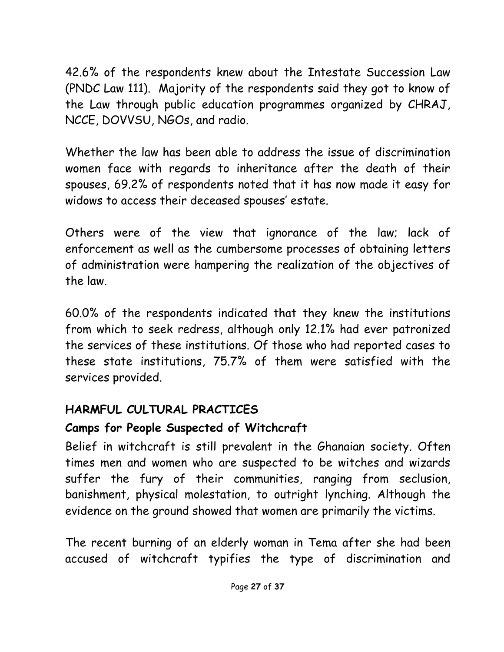42.6% of the respondents knew about the Intestate Succession Law (PNDC Law 111). Majority of the respondents said they got to know of the Law through public education programmes organized by CHRAJ, NCCE, DOVVSU, NGOs, and radio.

Whether the law has been able to address the issue of discrimination women face with regards to inheritance after the death of their spouses, 69.2% of respondents noted that it has now made it easy for widows to access their deceased spouses' estate.

Others were of the view that ignorance of the law; lack of enforcement as well as the cumbersome processes of obtaining letters of administration were hampering the realization of the objectives of the law.

60.0% of the respondents indicated that they knew the institutions from which to seek redress, although only 12.1% had ever patronized the services of these institutions. Of those who had reported cases to these state institutions, 75.7% of them were satisfied with the services provided.

#### **HARMFUL CULTURAL PRACTICES**

# **Camps for People Suspected of Witchcraft**

Belief in witchcraft is still prevalent in the Ghanaian society. Often times men and women who are suspected to be witches and wizards suffer the fury of their communities, ranging from seclusion, banishment, physical molestation, to outright lynching. Although the evidence on the ground showed that women are primarily the victims.

The recent burning of an elderly woman in Tema after she had been accused of witchcraft typifies the type of discrimination and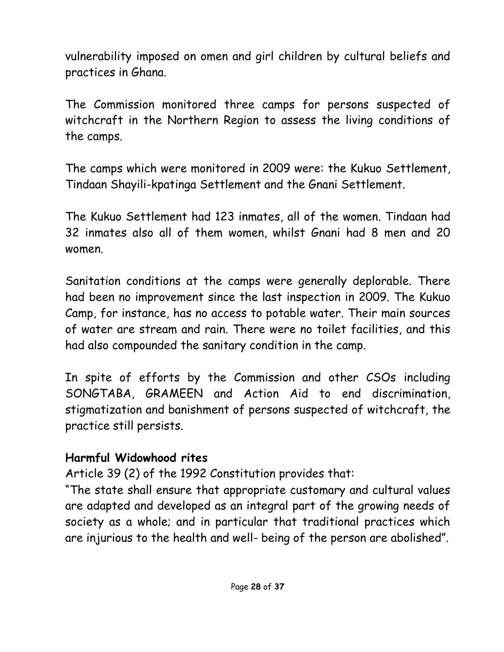vulnerability imposed on omen and girl children by cultural beliefs and practices in Ghana.

The Commission monitored three camps for persons suspected of witchcraft in the Northern Region to assess the living conditions of the camps.

The camps which were monitored in 2009 were: the Kukuo Settlement, Tindaan Shayili-kpatinga Settlement and the Gnani Settlement.

The Kukuo Settlement had 123 inmates, all of the women. Tindaan had 32 inmates also all of them women, whilst Gnani had 8 men and 20 women.

Sanitation conditions at the camps were generally deplorable. There had been no improvement since the last inspection in 2009. The Kukuo Camp, for instance, has no access to potable water. Their main sources of water are stream and rain. There were no toilet facilities, and this had also compounded the sanitary condition in the camp.

In spite of efforts by the Commission and other CSOs including SONGTABA, GRAMEEN and Action Aid to end discrimination, stigmatization and banishment of persons suspected of witchcraft, the practice still persists.

#### **Harmful Widowhood rites**

Article 39 (2) of the 1992 Constitution provides that:

"The state shall ensure that appropriate customary and cultural values are adapted and developed as an integral part of the growing needs of society as a whole; and in particular that traditional practices which are injurious to the health and well- being of the person are abolished".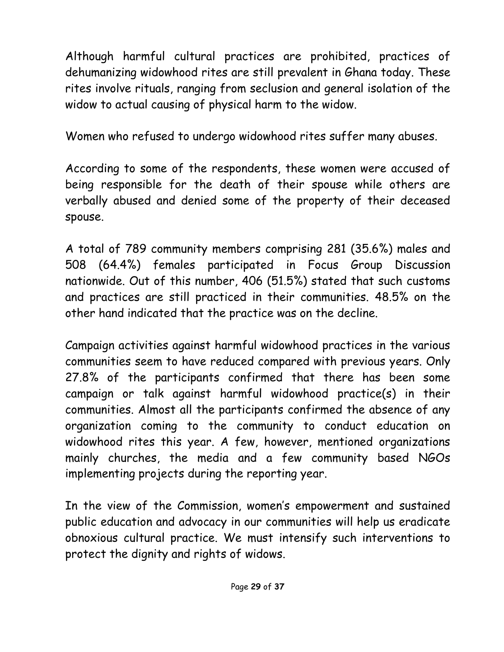Although harmful cultural practices are prohibited, practices of dehumanizing widowhood rites are still prevalent in Ghana today. These rites involve rituals, ranging from seclusion and general isolation of the widow to actual causing of physical harm to the widow.

Women who refused to undergo widowhood rites suffer many abuses.

According to some of the respondents, these women were accused of being responsible for the death of their spouse while others are verbally abused and denied some of the property of their deceased spouse.

A total of 789 community members comprising 281 (35.6%) males and 508 (64.4%) females participated in Focus Group Discussion nationwide. Out of this number, 406 (51.5%) stated that such customs and practices are still practiced in their communities. 48.5% on the other hand indicated that the practice was on the decline.

Campaign activities against harmful widowhood practices in the various communities seem to have reduced compared with previous years. Only 27.8% of the participants confirmed that there has been some campaign or talk against harmful widowhood practice(s) in their communities. Almost all the participants confirmed the absence of any organization coming to the community to conduct education on widowhood rites this year. A few, however, mentioned organizations mainly churches, the media and a few community based NGOs implementing projects during the reporting year.

In the view of the Commission, women's empowerment and sustained public education and advocacy in our communities will help us eradicate obnoxious cultural practice. We must intensify such interventions to protect the dignity and rights of widows.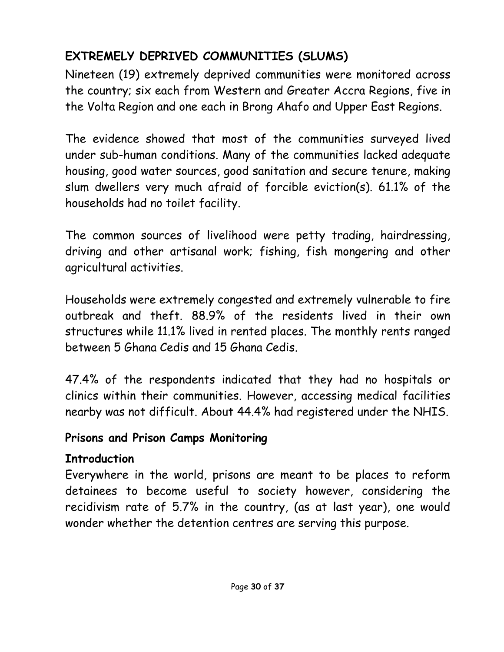# **EXTREMELY DEPRIVED COMMUNITIES (SLUMS)**

Nineteen (19) extremely deprived communities were monitored across the country; six each from Western and Greater Accra Regions, five in the Volta Region and one each in Brong Ahafo and Upper East Regions.

The evidence showed that most of the communities surveyed lived under sub-human conditions. Many of the communities lacked adequate housing, good water sources, good sanitation and secure tenure, making slum dwellers very much afraid of forcible eviction(s). 61.1% of the households had no toilet facility.

The common sources of livelihood were petty trading, hairdressing, driving and other artisanal work; fishing, fish mongering and other agricultural activities.

Households were extremely congested and extremely vulnerable to fire outbreak and theft. 88.9% of the residents lived in their own structures while 11.1% lived in rented places. The monthly rents ranged between 5 Ghana Cedis and 15 Ghana Cedis.

47.4% of the respondents indicated that they had no hospitals or clinics within their communities. However, accessing medical facilities nearby was not difficult. About 44.4% had registered under the NHIS.

#### **Prisons and Prison Camps Monitoring**

# **Introduction**

Everywhere in the world, prisons are meant to be places to reform detainees to become useful to society however, considering the recidivism rate of 5.7% in the country, (as at last year), one would wonder whether the detention centres are serving this purpose.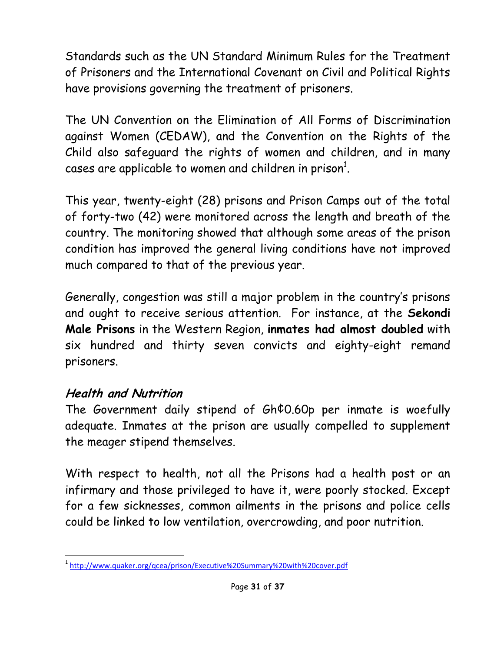Standards such as the UN Standard Minimum Rules for the Treatment of Prisoners and the International Covenant on Civil and Political Rights have provisions governing the treatment of prisoners.

The UN Convention on the Elimination of All Forms of Discrimination against Women (CEDAW), and the Convention on the Rights of the Child also safeguard the rights of women and children, and in many cases are applicable to women and children in prison $^{\rm 1}.$ 

This year, twenty-eight (28) prisons and Prison Camps out of the total of forty-two (42) were monitored across the length and breath of the country. The monitoring showed that although some areas of the prison condition has improved the general living conditions have not improved much compared to that of the previous year.

Generally, congestion was still a major problem in the country's prisons and ought to receive serious attention. For instance, at the **Sekondi Male Prisons** in the Western Region, **inmates had almost doubled** with six hundred and thirty seven convicts and eighty-eight remand prisoners.

#### **Health and Nutrition**

The Government daily stipend of Gh¢0.60p per inmate is woefully adequate. Inmates at the prison are usually compelled to supplement the meager stipend themselves.

With respect to health, not all the Prisons had a health post or an infirmary and those privileged to have it, were poorly stocked. Except for a few sicknesses, common ailments in the prisons and police cells could be linked to low ventilation, overcrowding, and poor nutrition.

 $\overline{a}$ <sup>1</sup> <http://www.quaker.org/qcea/prison/Executive%20Summary%20with%20cover.pdf>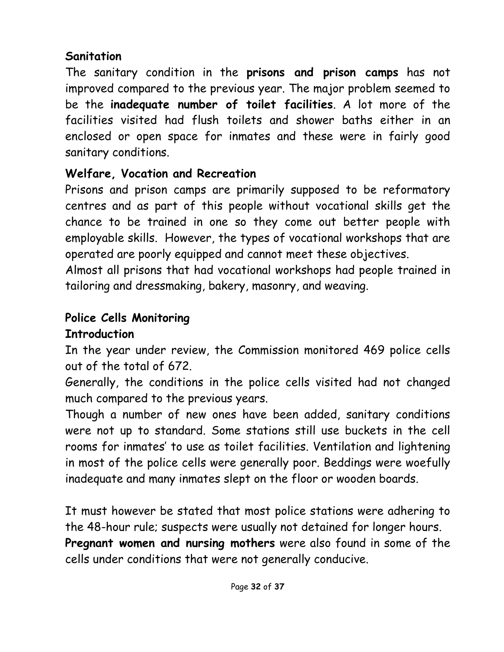#### **Sanitation**

The sanitary condition in the **prisons and prison camps** has not improved compared to the previous year. The major problem seemed to be the **inadequate number of toilet facilities**. A lot more of the facilities visited had flush toilets and shower baths either in an enclosed or open space for inmates and these were in fairly good sanitary conditions.

# **Welfare, Vocation and Recreation**

Prisons and prison camps are primarily supposed to be reformatory centres and as part of this people without vocational skills get the chance to be trained in one so they come out better people with employable skills. However, the types of vocational workshops that are operated are poorly equipped and cannot meet these objectives.

Almost all prisons that had vocational workshops had people trained in tailoring and dressmaking, bakery, masonry, and weaving.

# **Police Cells Monitoring**

# **Introduction**

In the year under review, the Commission monitored 469 police cells out of the total of 672.

Generally, the conditions in the police cells visited had not changed much compared to the previous years.

Though a number of new ones have been added, sanitary conditions were not up to standard. Some stations still use buckets in the cell rooms for inmates' to use as toilet facilities. Ventilation and lightening in most of the police cells were generally poor. Beddings were woefully inadequate and many inmates slept on the floor or wooden boards.

It must however be stated that most police stations were adhering to the 48-hour rule; suspects were usually not detained for longer hours. **Pregnant women and nursing mothers** were also found in some of the cells under conditions that were not generally conducive.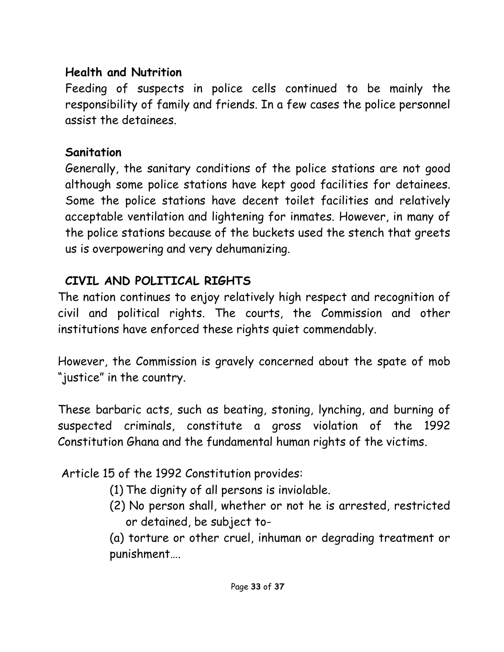#### **Health and Nutrition**

Feeding of suspects in police cells continued to be mainly the responsibility of family and friends. In a few cases the police personnel assist the detainees.

#### **Sanitation**

Generally, the sanitary conditions of the police stations are not good although some police stations have kept good facilities for detainees. Some the police stations have decent toilet facilities and relatively acceptable ventilation and lightening for inmates. However, in many of the police stations because of the buckets used the stench that greets us is overpowering and very dehumanizing.

#### **CIVIL AND POLITICAL RIGHTS**

The nation continues to enjoy relatively high respect and recognition of civil and political rights. The courts, the Commission and other institutions have enforced these rights quiet commendably.

However, the Commission is gravely concerned about the spate of mob "justice" in the country.

These barbaric acts, such as beating, stoning, lynching, and burning of suspected criminals, constitute a gross violation of the 1992 Constitution Ghana and the fundamental human rights of the victims.

Article 15 of the 1992 Constitution provides:

- (1) The dignity of all persons is inviolable.
- (2) No person shall, whether or not he is arrested, restricted or detained, be subject to-

(a) torture or other cruel, inhuman or degrading treatment or punishment….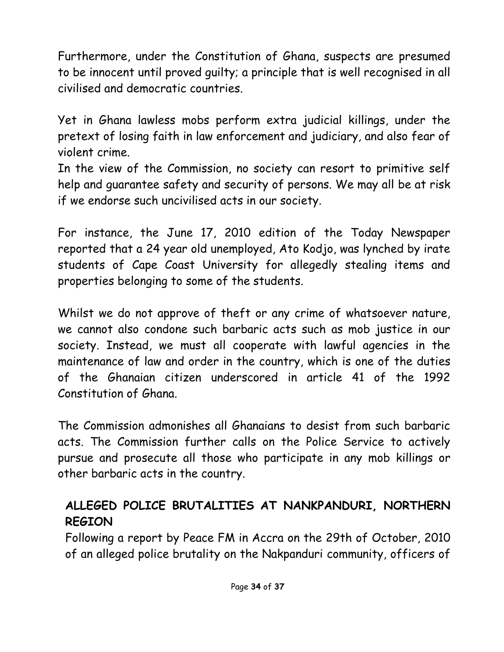Furthermore, under the Constitution of Ghana, suspects are presumed to be innocent until proved guilty; a principle that is well recognised in all civilised and democratic countries.

Yet in Ghana lawless mobs perform extra judicial killings, under the pretext of losing faith in law enforcement and judiciary, and also fear of violent crime.

In the view of the Commission, no society can resort to primitive self help and guarantee safety and security of persons. We may all be at risk if we endorse such uncivilised acts in our society.

For instance, the June 17, 2010 edition of the Today Newspaper reported that a 24 year old unemployed, Ato Kodjo, was lynched by irate students of Cape Coast University for allegedly stealing items and properties belonging to some of the students.

Whilst we do not approve of theft or any crime of whatsoever nature, we cannot also condone such barbaric acts such as mob justice in our society. Instead, we must all cooperate with lawful agencies in the maintenance of law and order in the country, which is one of the duties of the Ghanaian citizen underscored in article 41 of the 1992 Constitution of Ghana.

The Commission admonishes all Ghanaians to desist from such barbaric acts. The Commission further calls on the Police Service to actively pursue and prosecute all those who participate in any mob killings or other barbaric acts in the country.

# **ALLEGED POLICE BRUTALITIES AT NANKPANDURI, NORTHERN REGION**

Following a report by Peace FM in Accra on the 29th of October, 2010 of an alleged police brutality on the Nakpanduri community, officers of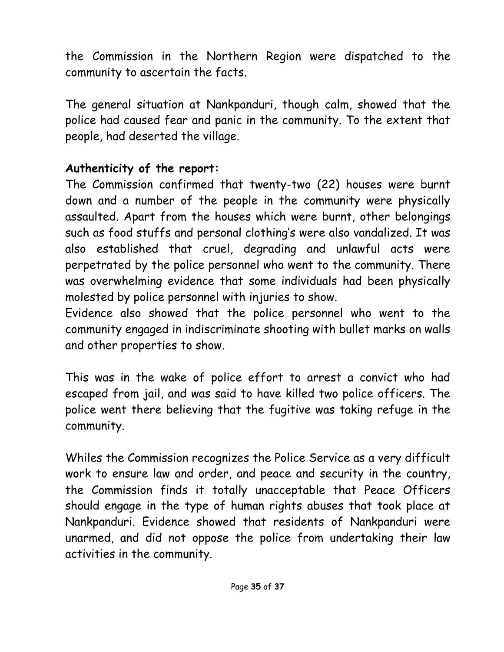the Commission in the Northern Region were dispatched to the community to ascertain the facts.

The general situation at Nankpanduri, though calm, showed that the police had caused fear and panic in the community. To the extent that people, had deserted the village.

#### **Authenticity of the report:**

The Commission confirmed that twenty-two (22) houses were burnt down and a number of the people in the community were physically assaulted. Apart from the houses which were burnt, other belongings such as food stuffs and personal clothing's were also vandalized. It was also established that cruel, degrading and unlawful acts were perpetrated by the police personnel who went to the community. There was overwhelming evidence that some individuals had been physically molested by police personnel with injuries to show.

Evidence also showed that the police personnel who went to the community engaged in indiscriminate shooting with bullet marks on walls and other properties to show.

This was in the wake of police effort to arrest a convict who had escaped from jail, and was said to have killed two police officers. The police went there believing that the fugitive was taking refuge in the community.

Whiles the Commission recognizes the Police Service as a very difficult work to ensure law and order, and peace and security in the country, the Commission finds it totally unacceptable that Peace Officers should engage in the type of human rights abuses that took place at Nankpanduri. Evidence showed that residents of Nankpanduri were unarmed, and did not oppose the police from undertaking their law activities in the community.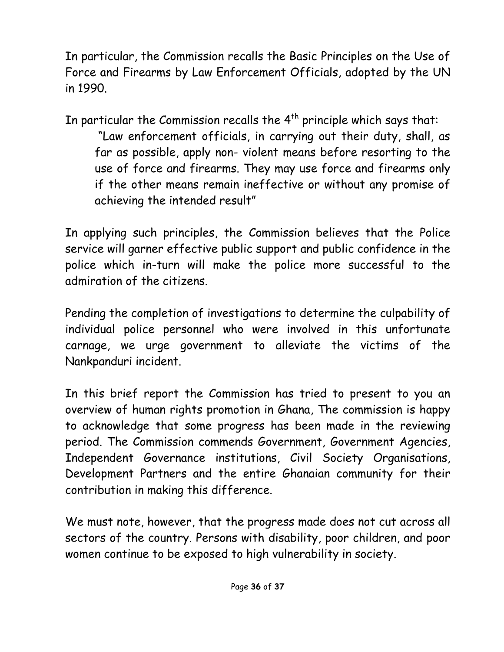In particular, the Commission recalls the Basic Principles on the Use of Force and Firearms by Law Enforcement Officials, adopted by the UN in 1990.

In particular the Commission recalls the  $4<sup>th</sup>$  principle which says that:

"Law enforcement officials, in carrying out their duty, shall, as far as possible, apply non- violent means before resorting to the use of force and firearms. They may use force and firearms only if the other means remain ineffective or without any promise of achieving the intended result"

In applying such principles, the Commission believes that the Police service will garner effective public support and public confidence in the police which in-turn will make the police more successful to the admiration of the citizens.

Pending the completion of investigations to determine the culpability of individual police personnel who were involved in this unfortunate carnage, we urge government to alleviate the victims of the Nankpanduri incident.

In this brief report the Commission has tried to present to you an overview of human rights promotion in Ghana, The commission is happy to acknowledge that some progress has been made in the reviewing period. The Commission commends Government, Government Agencies, Independent Governance institutions, Civil Society Organisations, Development Partners and the entire Ghanaian community for their contribution in making this difference.

We must note, however, that the progress made does not cut across all sectors of the country. Persons with disability, poor children, and poor women continue to be exposed to high vulnerability in society.